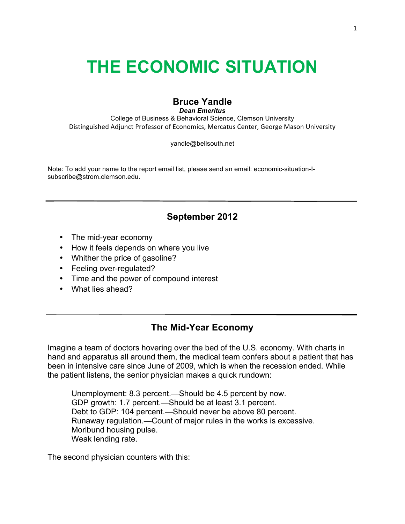# **THE ECONOMIC SITUATION**

# **Bruce Yandle**

*Dean Emeritus* College of Business & Behavioral Science, Clemson University

Distinguished Adjunct Professor of Economics, Mercatus Center, George Mason University

yandle@bellsouth.net

Note: To add your name to the report email list, please send an email: economic-situation-Isubscribe@strom.clemson.edu.

# **September 2012**

- The mid-year economy
- How it feels depends on where you live
- Whither the price of gasoline?
- Feeling over-regulated?
- Time and the power of compound interest
- What lies ahead?

## **The Mid-Year Economy**

Imagine a team of doctors hovering over the bed of the U.S. economy. With charts in hand and apparatus all around them, the medical team confers about a patient that has been in intensive care since June of 2009, which is when the recession ended. While the patient listens, the senior physician makes a quick rundown:

Unemployment: 8.3 percent.—Should be 4.5 percent by now. GDP growth: 1.7 percent.—Should be at least 3.1 percent. Debt to GDP: 104 percent.—Should never be above 80 percent. Runaway regulation.—Count of major rules in the works is excessive. Moribund housing pulse. Weak lending rate.

The second physician counters with this: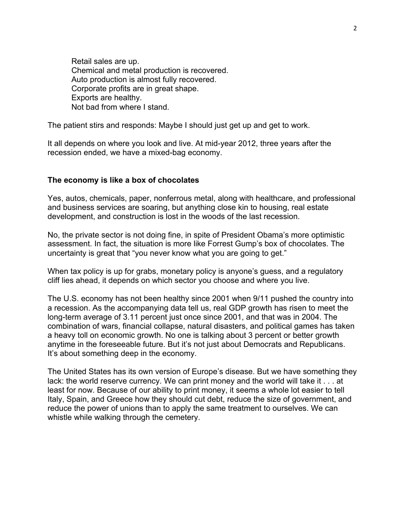Retail sales are up. Chemical and metal production is recovered. Auto production is almost fully recovered. Corporate profits are in great shape. Exports are healthy. Not bad from where I stand.

The patient stirs and responds: Maybe I should just get up and get to work.

It all depends on where you look and live. At mid-year 2012, three years after the recession ended, we have a mixed-bag economy.

#### **The economy is like a box of chocolates**

Yes, autos, chemicals, paper, nonferrous metal, along with healthcare, and professional and business services are soaring, but anything close kin to housing, real estate development, and construction is lost in the woods of the last recession.

No, the private sector is not doing fine, in spite of President Obama's more optimistic assessment. In fact, the situation is more like Forrest Gump's box of chocolates. The uncertainty is great that "you never know what you are going to get."

When tax policy is up for grabs, monetary policy is anyone's guess, and a regulatory cliff lies ahead, it depends on which sector you choose and where you live.

The U.S. economy has not been healthy since 2001 when 9/11 pushed the country into a recession. As the accompanying data tell us, real GDP growth has risen to meet the long-term average of 3.11 percent just once since 2001, and that was in 2004. The combination of wars, financial collapse, natural disasters, and political games has taken a heavy toll on economic growth. No one is talking about 3 percent or better growth anytime in the foreseeable future. But it's not just about Democrats and Republicans. It's about something deep in the economy.

The United States has its own version of Europe's disease. But we have something they lack: the world reserve currency. We can print money and the world will take it . . . at least for now. Because of our ability to print money, it seems a whole lot easier to tell Italy, Spain, and Greece how they should cut debt, reduce the size of government, and reduce the power of unions than to apply the same treatment to ourselves. We can whistle while walking through the cemetery.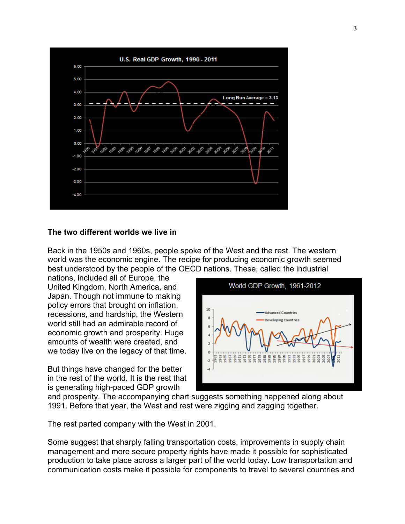

#### **The two different worlds we live in**

Back in the 1950s and 1960s, people spoke of the West and the rest. The western world was the economic engine. The recipe for producing economic growth seemed best understood by the people of the OECD nations. These, called the industrial

nations, included all of Europe, the United Kingdom, North America, and Japan. Though not immune to making policy errors that brought on inflation, recessions, and hardship, the Western world still had an admirable record of economic growth and prosperity. Huge amounts of wealth were created, and we today live on the legacy of that time.

But things have changed for the better in the rest of the world. It is the rest that is generating high-paced GDP growth



and prosperity. The accompanying chart suggests something happened along about 1991. Before that year, the West and rest were zigging and zagging together.

The rest parted company with the West in 2001.

Some suggest that sharply falling transportation costs, improvements in supply chain management and more secure property rights have made it possible for sophisticated production to take place across a larger part of the world today. Low transportation and communication costs make it possible for components to travel to several countries and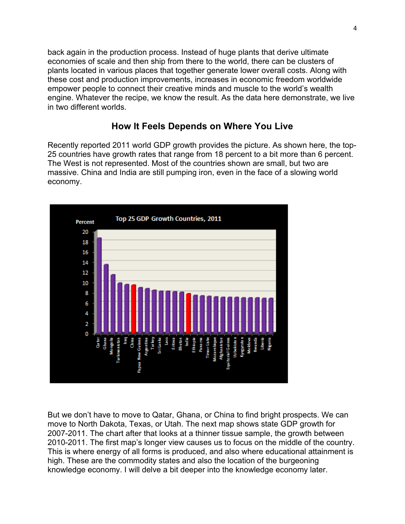back again in the production process. Instead of huge plants that derive ultimate economies of scale and then ship from there to the world, there can be clusters of plants located in various places that together generate lower overall costs. Along with these cost and production improvements, increases in economic freedom worldwide empower people to connect their creative minds and muscle to the world's wealth engine. Whatever the recipe, we know the result. As the data here demonstrate, we live in two different worlds.

## **How It Feels Depends on Where You Live**

Recently reported 2011 world GDP growth provides the picture. As shown here, the top-25 countries have growth rates that range from 18 percent to a bit more than 6 percent. The West is not represented. Most of the countries shown are small, but two are massive. China and India are still pumping iron, even in the face of a slowing world economy.



But we don't have to move to Qatar, Ghana, or China to find bright prospects. We can move to North Dakota, Texas, or Utah. The next map shows state GDP growth for 2007-2011. The chart after that looks at a thinner tissue sample, the growth between 2010-2011. The first map's longer view causes us to focus on the middle of the country. This is where energy of all forms is produced, and also where educational attainment is high. These are the commodity states and also the location of the burgeoning knowledge economy. I will delve a bit deeper into the knowledge economy later.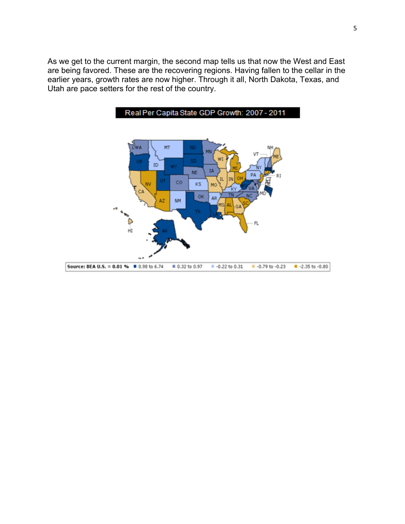As we get to the current margin, the second map tells us that now the West and East are being favored. These are the recovering regions. Having fallen to the cellar in the earlier years, growth rates are now higher. Through it all, North Dakota, Texas, and Utah are pace setters for the rest of the country.

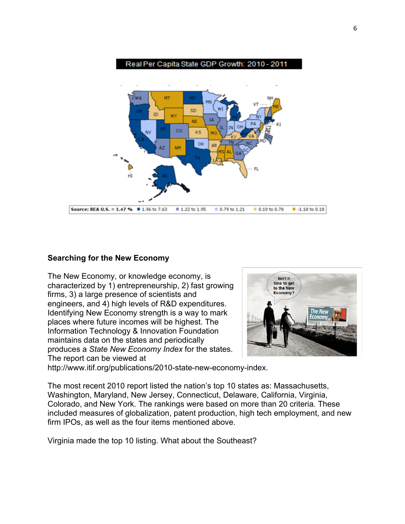

#### **Searching for the New Economy**

The New Economy, or knowledge economy, is characterized by 1) entrepreneurship, 2) fast growing firms, 3) a large presence of scientists and engineers, and 4) high levels of R&D expenditures. Identifying New Economy strength is a way to mark places where future incomes will be highest. The Information Technology & Innovation Foundation maintains data on the states and periodically produces a *State New Economy Index* for the states. The report can be viewed at



http://www.itif.org/publications/2010-state-new-economy-index.

The most recent 2010 report listed the nation's top 10 states as: Massachusetts, Washington, Maryland, New Jersey, Connecticut, Delaware, California, Virginia, Colorado, and New York. The rankings were based on more than 20 criteria. These included measures of globalization, patent production, high tech employment, and new firm IPOs, as well as the four items mentioned above.

Virginia made the top 10 listing. What about the Southeast?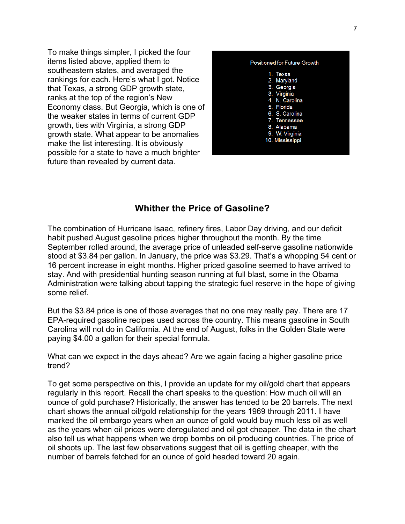To make things simpler, I picked the four items listed above, applied them to southeastern states, and averaged the rankings for each. Here's what I got. Notice that Texas, a strong GDP growth state, ranks at the top of the region's New Economy class. But Georgia, which is one of the weaker states in terms of current GDP growth, ties with Virginia, a strong GDP growth state. What appear to be anomalies make the list interesting. It is obviously possible for a state to have a much brighter future than revealed by current data.



## **Whither the Price of Gasoline?**

The combination of Hurricane Isaac, refinery fires, Labor Day driving, and our deficit habit pushed August gasoline prices higher throughout the month. By the time September rolled around, the average price of unleaded self-serve gasoline nationwide stood at \$3.84 per gallon. In January, the price was \$3.29. That's a whopping 54 cent or 16 percent increase in eight months. Higher priced gasoline seemed to have arrived to stay. And with presidential hunting season running at full blast, some in the Obama Administration were talking about tapping the strategic fuel reserve in the hope of giving some relief.

But the \$3.84 price is one of those averages that no one may really pay. There are 17 EPA-required gasoline recipes used across the country. This means gasoline in South Carolina will not do in California. At the end of August, folks in the Golden State were paying \$4.00 a gallon for their special formula.

What can we expect in the days ahead? Are we again facing a higher gasoline price trend?

To get some perspective on this, I provide an update for my oil/gold chart that appears regularly in this report. Recall the chart speaks to the question: How much oil will an ounce of gold purchase? Historically, the answer has tended to be 20 barrels. The next chart shows the annual oil/gold relationship for the years 1969 through 2011. I have marked the oil embargo years when an ounce of gold would buy much less oil as well as the years when oil prices were deregulated and oil got cheaper. The data in the chart also tell us what happens when we drop bombs on oil producing countries. The price of oil shoots up. The last few observations suggest that oil is getting cheaper, with the number of barrels fetched for an ounce of gold headed toward 20 again.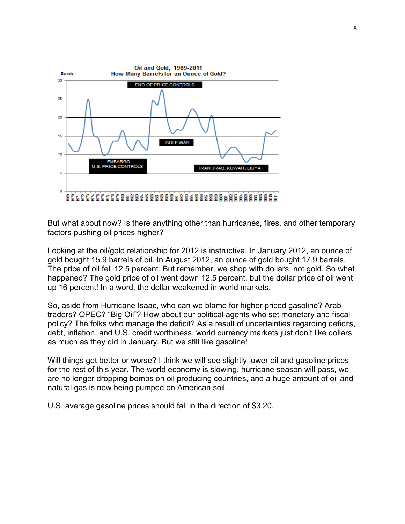

But what about now? Is there anything other than hurricanes, fires, and other temporary factors pushing oil prices higher?

Looking at the oil/gold relationship for 2012 is instructive. In January 2012, an ounce of gold bought 15.9 barrels of oil. In August 2012, an ounce of gold bought 17.9 barrels. The price of oil fell 12.5 percent. But remember, we shop with dollars, not gold. So what happened? The gold price of oil went down 12.5 percent, but the dollar price of oil went up 16 percent! In a word, the dollar weakened in world markets.

So, aside from Hurricane Isaac, who can we blame for higher priced gasoline? Arab traders? OPEC? "Big Oil"? How about our political agents who set monetary and fiscal policy? The folks who manage the deficit? As a result of uncertainties regarding deficits, debt, inflation, and U.S. credit worthiness, world currency markets just don't like dollars as much as they did in January. But we still like gasoline!

Will things get better or worse? I think we will see slightly lower oil and gasoline prices for the rest of this year. The world economy is slowing, hurricane season will pass, we are no longer dropping bombs on oil producing countries, and a huge amount of oil and natural gas is now being pumped on American soil.

U.S. average gasoline prices should fall in the direction of \$3.20.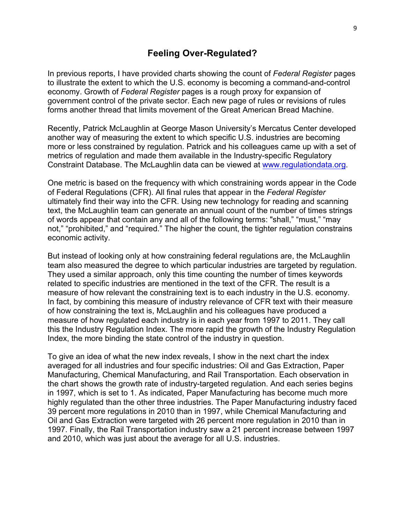### **Feeling Over-Regulated?**

In previous reports, I have provided charts showing the count of *Federal Register* pages to illustrate the extent to which the U.S. economy is becoming a command-and-control economy. Growth of *Federal Register* pages is a rough proxy for expansion of government control of the private sector. Each new page of rules or revisions of rules forms another thread that limits movement of the Great American Bread Machine.

Recently, Patrick McLaughlin at George Mason University's Mercatus Center developed another way of measuring the extent to which specific U.S. industries are becoming more or less constrained by regulation. Patrick and his colleagues came up with a set of metrics of regulation and made them available in the Industry-specific Regulatory Constraint Database. The McLaughlin data can be viewed at www.regulationdata.org.

One metric is based on the frequency with which constraining words appear in the Code of Federal Regulations (CFR). All final rules that appear in the *Federal Register* ultimately find their way into the CFR. Using new technology for reading and scanning text, the McLaughlin team can generate an annual count of the number of times strings of words appear that contain any and all of the following terms: "shall," "must," "may not," "prohibited," and "required." The higher the count, the tighter regulation constrains economic activity.

But instead of looking only at how constraining federal regulations are, the McLaughlin team also measured the degree to which particular industries are targeted by regulation. They used a similar approach, only this time counting the number of times keywords related to specific industries are mentioned in the text of the CFR. The result is a measure of how relevant the constraining text is to each industry in the U.S. economy. In fact, by combining this measure of industry relevance of CFR text with their measure of how constraining the text is, McLaughlin and his colleagues have produced a measure of how regulated each industry is in each year from 1997 to 2011. They call this the Industry Regulation Index. The more rapid the growth of the Industry Regulation Index, the more binding the state control of the industry in question.

To give an idea of what the new index reveals, I show in the next chart the index averaged for all industries and four specific industries: Oil and Gas Extraction, Paper Manufacturing, Chemical Manufacturing, and Rail Transportation. Each observation in the chart shows the growth rate of industry-targeted regulation. And each series begins in 1997, which is set to 1. As indicated, Paper Manufacturing has become much more highly regulated than the other three industries. The Paper Manufacturing industry faced 39 percent more regulations in 2010 than in 1997, while Chemical Manufacturing and Oil and Gas Extraction were targeted with 26 percent more regulation in 2010 than in 1997. Finally, the Rail Transportation industry saw a 21 percent increase between 1997 and 2010, which was just about the average for all U.S. industries.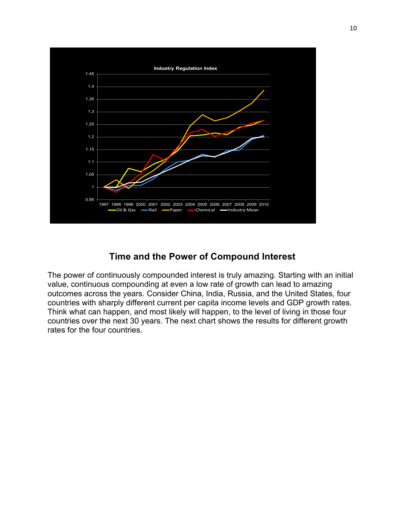

# **Time and the Power of Compound Interest**

The power of continuously compounded interest is truly amazing. Starting with an initial value, continuous compounding at even a low rate of growth can lead to amazing outcomes across the years. Consider China, India, Russia, and the United States, four countries with sharply different current per capita income levels and GDP growth rates. Think what can happen, and most likely will happen, to the level of living in those four countries over the next 30 years. The next chart shows the results for different growth rates for the four countries.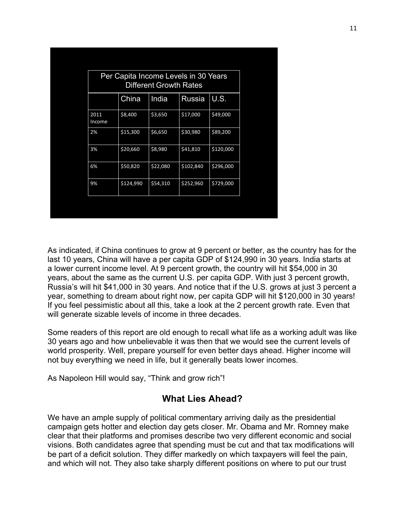| Per Capita Income Levels in 30 Years<br><b>Different Growth Rates</b> |           |          |               |           |
|-----------------------------------------------------------------------|-----------|----------|---------------|-----------|
|                                                                       | China     | India    | <b>Russia</b> | U.S.      |
| 2011<br>Income                                                        | \$8,400   | \$3,650  | \$17,000      | \$49,000  |
| 2%                                                                    | \$15,300  | \$6,650  | \$30,980      | \$89,200  |
| 3%                                                                    | \$20,660  | \$8,980  | \$41,810      | \$120,000 |
| 6%                                                                    | \$50,820  | \$22,080 | \$102,840     | \$296,000 |
| 9%                                                                    | \$124,990 | \$54,310 | \$252,960     | \$729,000 |
|                                                                       |           |          |               |           |

As indicated, if China continues to grow at 9 percent or better, as the country has for the last 10 years, China will have a per capita GDP of \$124,990 in 30 years. India starts at a lower current income level. At 9 percent growth, the country will hit \$54,000 in 30 years, about the same as the current U.S. per capita GDP. With just 3 percent growth, Russia's will hit \$41,000 in 30 years. And notice that if the U.S. grows at just 3 percent a year, something to dream about right now, per capita GDP will hit \$120,000 in 30 years! If you feel pessimistic about all this, take a look at the 2 percent growth rate. Even that will generate sizable levels of income in three decades.

Some readers of this report are old enough to recall what life as a working adult was like 30 years ago and how unbelievable it was then that we would see the current levels of world prosperity. Well, prepare yourself for even better days ahead. Higher income will not buy everything we need in life, but it generally beats lower incomes.

As Napoleon Hill would say, "Think and grow rich"!

## **What Lies Ahead?**

We have an ample supply of political commentary arriving daily as the presidential campaign gets hotter and election day gets closer. Mr. Obama and Mr. Romney make clear that their platforms and promises describe two very different economic and social visions. Both candidates agree that spending must be cut and that tax modifications will be part of a deficit solution. They differ markedly on which taxpayers will feel the pain, and which will not. They also take sharply different positions on where to put our trust